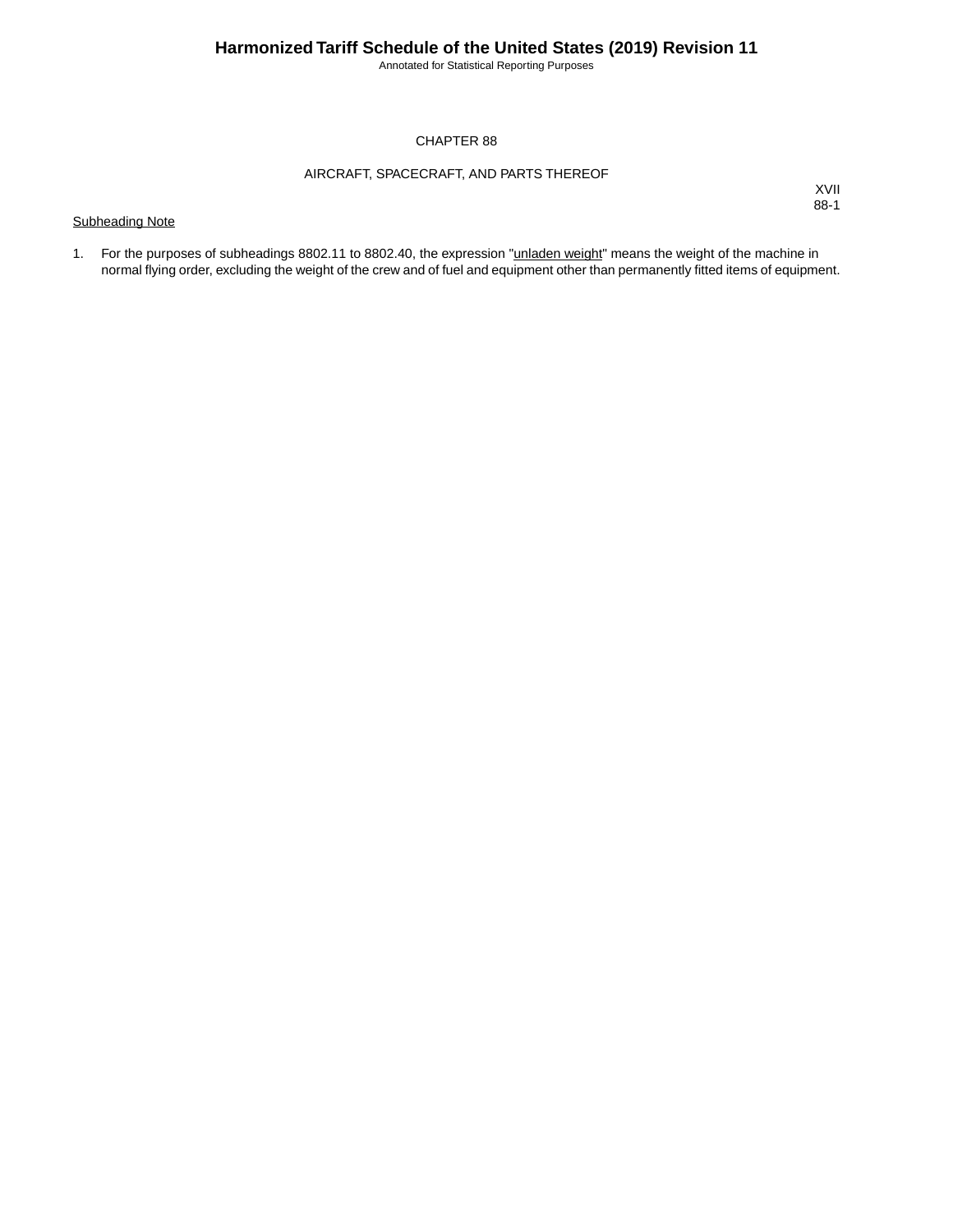Annotated for Statistical Reporting Purposes

#### CHAPTER 88

#### AIRCRAFT, SPACECRAFT, AND PARTS THEREOF

### Subheading Note

XVII 88-1

1. For the purposes of subheadings 8802.11 to 8802.40, the expression "**unladen weight**" means the weight of the machine in normal flying order, excluding the weight of the crew and of fuel and equipment other than permanently fitted items of equipment.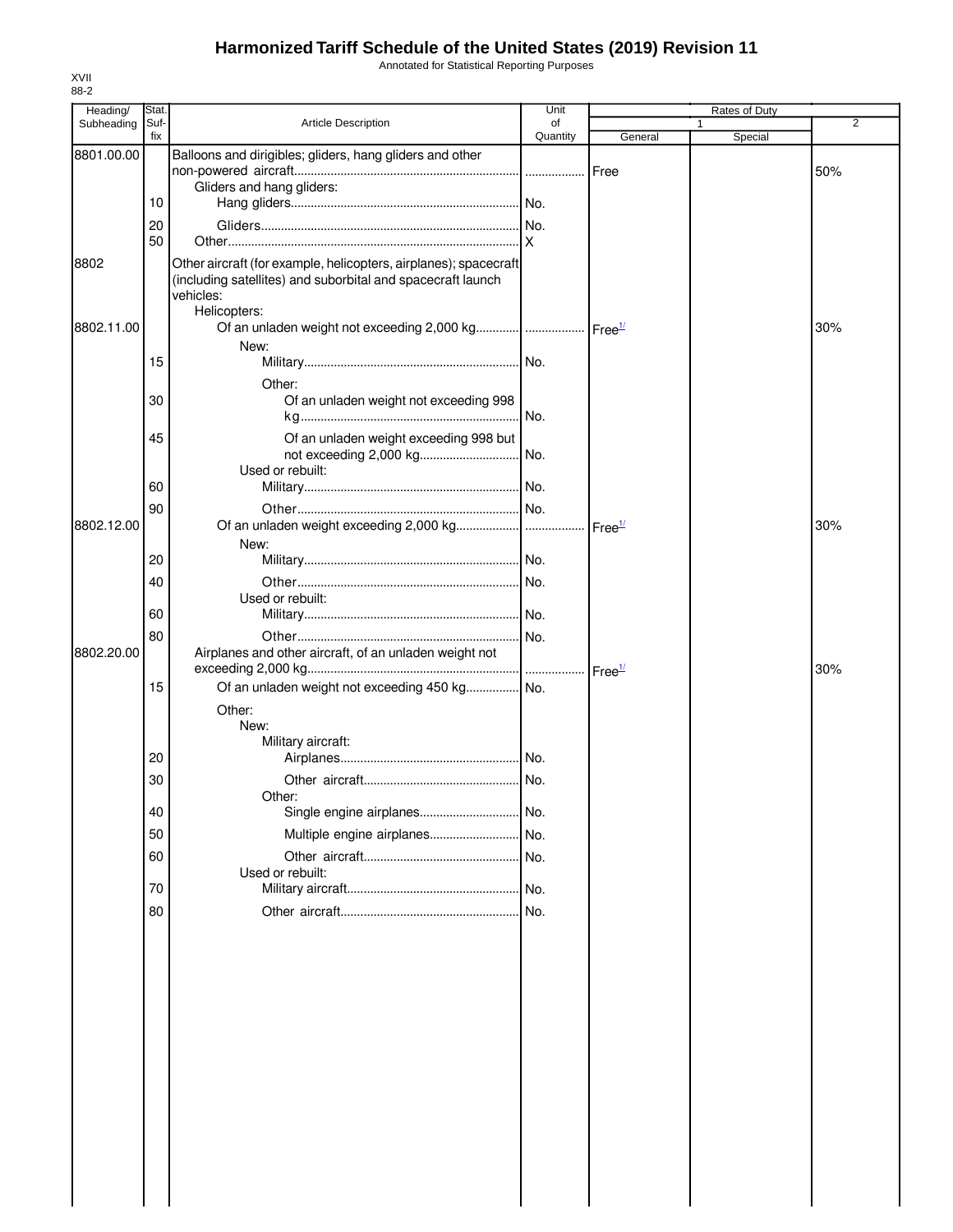## **Harmonized Tariff Schedule of the United States (2019) Revision 11**

Annotated for Statistical Reporting Purposes

| Heading/   | Stat. |                                                                          | Unit     |         | Rates of Duty |                |
|------------|-------|--------------------------------------------------------------------------|----------|---------|---------------|----------------|
| Subheading | Suf-  | Article Description                                                      | οf       |         |               | $\overline{2}$ |
|            | fix   |                                                                          | Quantity | General | Special       |                |
| 8801.00.00 |       | Balloons and dirigibles; gliders, hang gliders and other                 |          | Free    |               | 50%            |
|            |       | Gliders and hang gliders:                                                |          |         |               |                |
|            | 10    |                                                                          |          |         |               |                |
|            | 20    |                                                                          |          |         |               |                |
|            | 50    |                                                                          |          |         |               |                |
|            |       |                                                                          |          |         |               |                |
| 8802       |       | Other aircraft (for example, helicopters, airplanes); spacecraft         |          |         |               |                |
|            |       | (including satellites) and suborbital and spacecraft launch<br>vehicles: |          |         |               |                |
|            |       | Helicopters:                                                             |          |         |               |                |
| 8802.11.00 |       | Of an unladen weight not exceeding 2,000 kg   Free <sup>1/</sup>         |          |         |               | 30%            |
|            |       | New:                                                                     |          |         |               |                |
|            | 15    |                                                                          |          |         |               |                |
|            |       | Other:                                                                   |          |         |               |                |
|            | 30    | Of an unladen weight not exceeding 998                                   |          |         |               |                |
|            |       |                                                                          | No.      |         |               |                |
|            |       |                                                                          |          |         |               |                |
|            | 45    | Of an unladen weight exceeding 998 but                                   |          |         |               |                |
|            |       | Used or rebuilt:                                                         |          |         |               |                |
|            | 60    |                                                                          |          |         |               |                |
|            |       |                                                                          |          |         |               |                |
| 8802.12.00 | 90    |                                                                          |          |         |               | 30%            |
|            |       |                                                                          |          |         |               |                |
|            | 20    | New:                                                                     |          |         |               |                |
|            |       |                                                                          |          |         |               |                |
|            | 40    |                                                                          |          |         |               |                |
|            | 60    | Used or rebuilt:                                                         |          |         |               |                |
|            |       |                                                                          |          |         |               |                |
|            | 80    |                                                                          |          |         |               |                |
| 8802.20.00 |       | Airplanes and other aircraft, of an unladen weight not                   |          |         |               |                |
|            |       |                                                                          |          |         |               | 30%            |
|            | 15    | Of an unladen weight not exceeding 450 kg No.                            |          |         |               |                |
|            |       | Other:                                                                   |          |         |               |                |
|            |       | New:                                                                     |          |         |               |                |
|            | 20    | Military aircraft:                                                       |          |         |               |                |
|            |       |                                                                          |          |         |               |                |
|            | 30    |                                                                          |          |         |               |                |
|            |       | Other:                                                                   |          |         |               |                |
|            | 40    |                                                                          |          |         |               |                |
|            | 50    | Multiple engine airplanes No.                                            |          |         |               |                |
|            | 60    |                                                                          |          |         |               |                |
|            |       | Used or rebuilt:                                                         |          |         |               |                |
|            | 70    |                                                                          |          |         |               |                |
|            | 80    |                                                                          |          |         |               |                |
|            |       |                                                                          |          |         |               |                |
|            |       |                                                                          |          |         |               |                |
|            |       |                                                                          |          |         |               |                |
|            |       |                                                                          |          |         |               |                |
|            |       |                                                                          |          |         |               |                |
|            |       |                                                                          |          |         |               |                |
|            |       |                                                                          |          |         |               |                |
|            |       |                                                                          |          |         |               |                |
|            |       |                                                                          |          |         |               |                |
|            |       |                                                                          |          |         |               |                |
|            |       |                                                                          |          |         |               |                |
|            |       |                                                                          |          |         |               |                |
|            |       |                                                                          |          |         |               |                |
|            |       |                                                                          |          |         |               |                |
|            |       |                                                                          |          |         |               |                |
|            |       |                                                                          |          |         |               |                |
|            |       |                                                                          |          |         |               |                |

XVII 88-2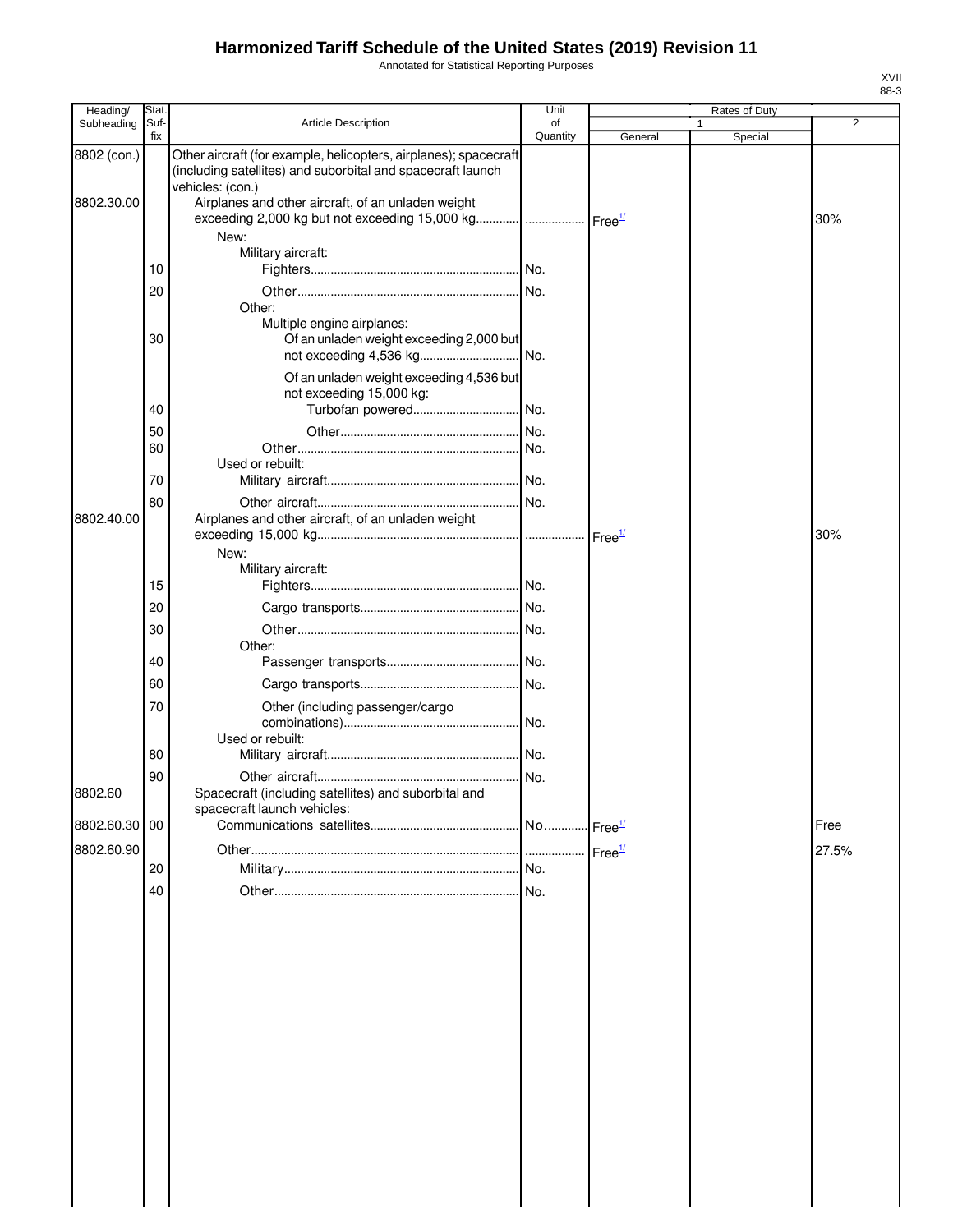# **Harmonized Tariff Schedule of the United States (2019) Revision 11**

Annotated for Statistical Reporting Purposes

| Heading/      | <b>Stat</b> |                                                                                                                                                     | Unit           |                    | Rates of Duty |       |
|---------------|-------------|-----------------------------------------------------------------------------------------------------------------------------------------------------|----------------|--------------------|---------------|-------|
| Subheading    | Suf-<br>fix | <b>Article Description</b>                                                                                                                          | οf<br>Quantity | General            | Special       | 2     |
| 8802 (con.)   |             | Other aircraft (for example, helicopters, airplanes); spacecraft<br>(including satellites) and suborbital and spacecraft launch<br>vehicles: (con.) |                |                    |               |       |
| 8802.30.00    |             | Airplanes and other aircraft, of an unladen weight                                                                                                  |                |                    |               | 30%   |
|               |             | New:<br>Military aircraft:                                                                                                                          |                |                    |               |       |
|               | 10          |                                                                                                                                                     |                |                    |               |       |
|               | 20          |                                                                                                                                                     |                |                    |               |       |
|               | 30          | Other:<br>Multiple engine airplanes:<br>Of an unladen weight exceeding 2,000 but                                                                    |                |                    |               |       |
|               |             | Of an unladen weight exceeding 4,536 but<br>not exceeding 15,000 kg:                                                                                |                |                    |               |       |
|               | 40          |                                                                                                                                                     |                |                    |               |       |
|               | 50          |                                                                                                                                                     |                |                    |               |       |
|               | 60          |                                                                                                                                                     |                |                    |               |       |
|               | 70          | Used or rebuilt:                                                                                                                                    |                |                    |               |       |
|               | 80          |                                                                                                                                                     |                |                    |               |       |
| 8802.40.00    |             | Airplanes and other aircraft, of an unladen weight                                                                                                  |                |                    |               | 30%   |
|               |             | New:                                                                                                                                                |                |                    |               |       |
|               |             | Military aircraft:                                                                                                                                  |                |                    |               |       |
|               | 15          |                                                                                                                                                     |                |                    |               |       |
|               | 20          |                                                                                                                                                     |                |                    |               |       |
|               | 30          | Other:                                                                                                                                              |                |                    |               |       |
|               | 40          |                                                                                                                                                     |                |                    |               |       |
|               | 60          |                                                                                                                                                     |                |                    |               |       |
|               | 70          | Other (including passenger/cargo                                                                                                                    |                |                    |               |       |
|               | 80          | Used or rebuilt:                                                                                                                                    |                |                    |               |       |
|               | 90          |                                                                                                                                                     |                |                    |               |       |
| 8802.60       |             | Spacecraft (including satellites) and suborbital and<br>spacecraft launch vehicles:                                                                 |                |                    |               |       |
| 8802.60.30 00 |             |                                                                                                                                                     |                |                    |               | Free  |
| 8802.60.90    |             |                                                                                                                                                     |                | Free <sup>1/</sup> |               | 27.5% |
|               | 20          |                                                                                                                                                     | No.            |                    |               |       |
|               | 40          |                                                                                                                                                     | No.            |                    |               |       |
|               |             |                                                                                                                                                     |                |                    |               |       |
|               |             |                                                                                                                                                     |                |                    |               |       |
|               |             |                                                                                                                                                     |                |                    |               |       |
|               |             |                                                                                                                                                     |                |                    |               |       |
|               |             |                                                                                                                                                     |                |                    |               |       |
|               |             |                                                                                                                                                     |                |                    |               |       |
|               |             |                                                                                                                                                     |                |                    |               |       |
|               |             |                                                                                                                                                     |                |                    |               |       |

XVII 88-3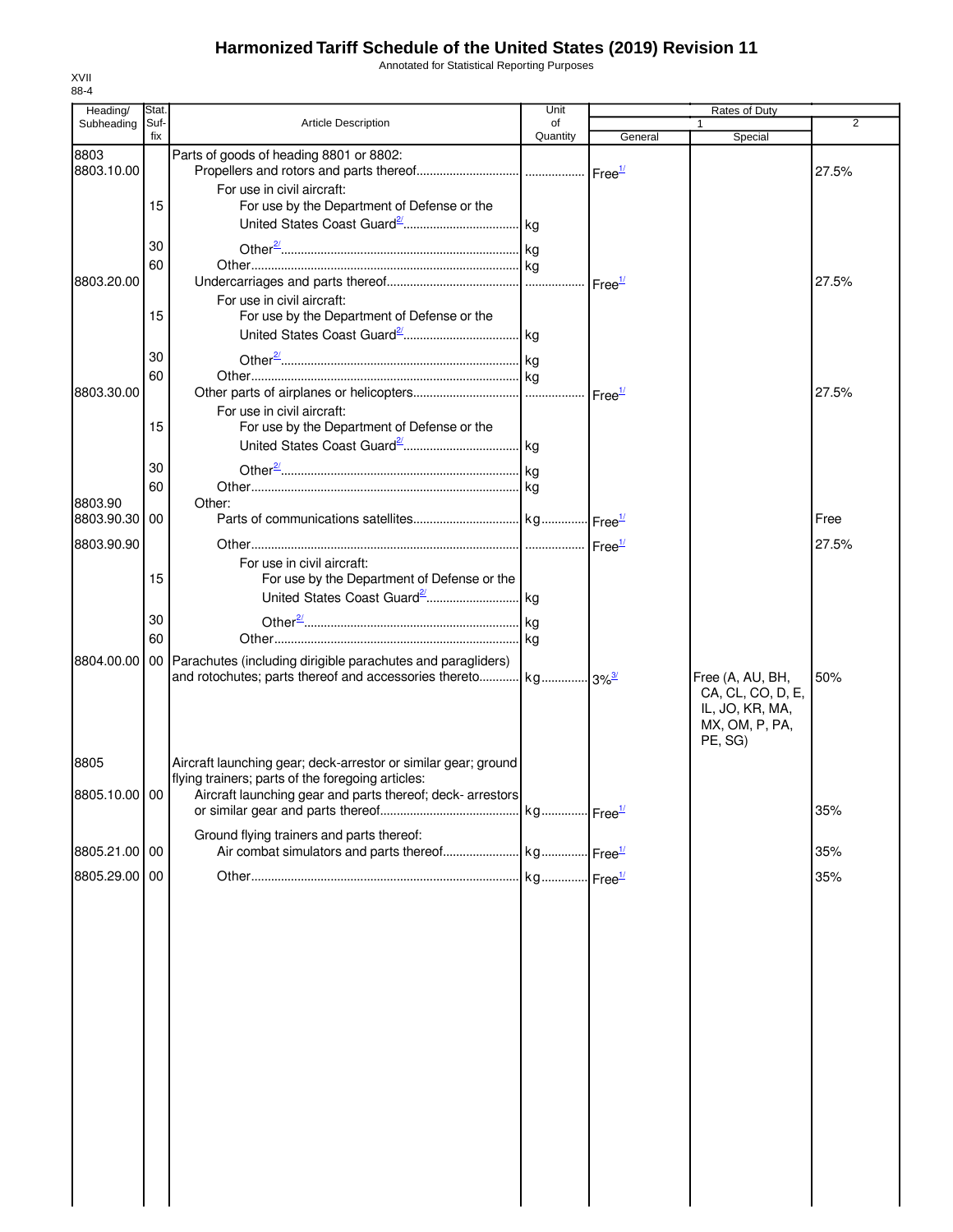## **Harmonized Tariff Schedule of the United States (2019) Revision 11**

Annotated for Statistical Reporting Purposes

| Heading/      | <b>Stat</b> |                                                                           | Unit     | Rates of Duty |                   |                |
|---------------|-------------|---------------------------------------------------------------------------|----------|---------------|-------------------|----------------|
| Subheading    | Suf-        | <b>Article Description</b>                                                | of       |               |                   | $\overline{2}$ |
|               | fix         |                                                                           | Quantity | General       | Special           |                |
| 8803          |             | Parts of goods of heading 8801 or 8802:                                   |          |               |                   |                |
| 8803.10.00    |             |                                                                           |          |               |                   | 27.5%          |
|               |             | For use in civil aircraft:                                                |          |               |                   |                |
|               | 15          | For use by the Department of Defense or the                               |          |               |                   |                |
|               |             |                                                                           |          |               |                   |                |
|               | 30          |                                                                           |          |               |                   |                |
|               |             |                                                                           |          |               |                   |                |
|               | 60          |                                                                           |          |               |                   |                |
| 8803.20.00    |             |                                                                           |          |               |                   | 27.5%          |
|               |             | For use in civil aircraft:                                                |          |               |                   |                |
|               | 15          | For use by the Department of Defense or the                               |          |               |                   |                |
|               |             |                                                                           |          |               |                   |                |
|               | 30          |                                                                           |          |               |                   |                |
|               | 60          |                                                                           |          |               |                   |                |
| 8803.30.00    |             |                                                                           |          |               |                   | 27.5%          |
|               |             | For use in civil aircraft:                                                |          |               |                   |                |
|               | 15          | For use by the Department of Defense or the                               |          |               |                   |                |
|               |             |                                                                           |          |               |                   |                |
|               |             |                                                                           |          |               |                   |                |
|               | 30          |                                                                           |          |               |                   |                |
|               | 60          |                                                                           |          |               |                   |                |
| 8803.90       |             | Other:                                                                    |          |               |                   |                |
| 8803.90.30    | 00          |                                                                           |          |               |                   | Free           |
|               |             |                                                                           |          |               |                   |                |
| 8803.90.90    |             |                                                                           |          |               |                   | 27.5%          |
|               |             | For use in civil aircraft:                                                |          |               |                   |                |
|               | 15          | For use by the Department of Defense or the                               |          |               |                   |                |
|               |             |                                                                           |          |               |                   |                |
|               | 30          |                                                                           |          |               |                   |                |
|               | 60          |                                                                           |          |               |                   |                |
|               |             |                                                                           |          |               |                   |                |
| 8804.00.00    |             | 00 Parachutes (including dirigible parachutes and paragliders)            |          |               |                   |                |
|               |             | and rotochutes; parts thereof and accessories thereto kg 3% <sup>3/</sup> |          |               | Free (A, AU, BH,  | 50%            |
|               |             |                                                                           |          |               | CA, CL, CO, D, E, |                |
|               |             |                                                                           |          |               | IL, JO, KR, MA,   |                |
|               |             |                                                                           |          |               | MX, OM, P, PA,    |                |
|               |             |                                                                           |          |               | PE, SG)           |                |
| 8805          |             | Aircraft launching gear; deck-arrestor or similar gear; ground            |          |               |                   |                |
|               |             | flying trainers; parts of the foregoing articles:                         |          |               |                   |                |
| 8805.10.00 00 |             | Aircraft launching gear and parts thereof; deck- arrestors                |          |               |                   |                |
|               |             |                                                                           |          |               |                   | 35%            |
|               |             | Ground flying trainers and parts thereof:                                 |          |               |                   |                |
| 8805.21.00 00 |             |                                                                           |          |               |                   | 35%            |
|               |             |                                                                           |          |               |                   |                |
| 8805.29.00    | 00          |                                                                           |          |               |                   | 35%            |
|               |             |                                                                           |          |               |                   |                |
|               |             |                                                                           |          |               |                   |                |
|               |             |                                                                           |          |               |                   |                |
|               |             |                                                                           |          |               |                   |                |
|               |             |                                                                           |          |               |                   |                |
|               |             |                                                                           |          |               |                   |                |
|               |             |                                                                           |          |               |                   |                |
|               |             |                                                                           |          |               |                   |                |
|               |             |                                                                           |          |               |                   |                |
|               |             |                                                                           |          |               |                   |                |
|               |             |                                                                           |          |               |                   |                |
|               |             |                                                                           |          |               |                   |                |
|               |             |                                                                           |          |               |                   |                |
|               |             |                                                                           |          |               |                   |                |
|               |             |                                                                           |          |               |                   |                |
|               |             |                                                                           |          |               |                   |                |
|               |             |                                                                           |          |               |                   |                |
|               |             |                                                                           |          |               |                   |                |
|               |             |                                                                           |          |               |                   |                |
|               |             |                                                                           |          |               |                   |                |

XVII 88-4